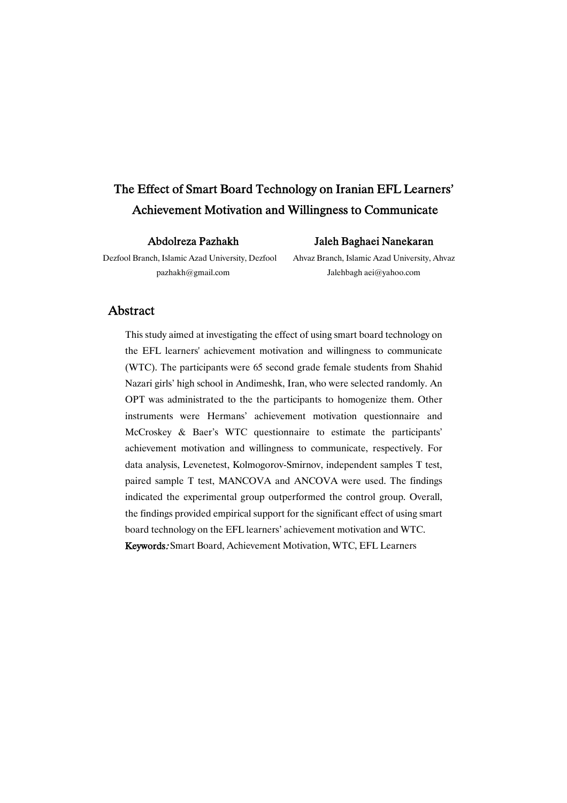# The Effect of Smart Board Technology on Iranian EFL Learners' Achievement Motivation and Willingness to Communicate

AbdolrezaPazhakh

### Jaleh Baghaei Nanekaran

Dezfool Branch, Islamic Azad University, Dezfool pazhakh@gmail.com

Ahvaz Branch, Islamic Azad University, Ahvaz Jalehbagh aei@yahoo.com

## Abstract

This study aimed at investigating the effect of using smart board technology on the EFL learners' achievement motivation and willingness to communicate (WTC). The participants were 65 second grade female students from Shahid Nazari girls' high school in Andimeshk, Iran, who were selected randomly. An OPT was administrated to the the participants to homogenize them. Other instruments were Hermans' achievement motivation questionnaire and McCroskey & Baer's WTC questionnaire to estimate the participants' achievement motivation and willingness to communicate, respectively. For data analysis, Levenetest, Kolmogorov-Smirnov, independent samples T test, paired sample T test, MANCOVA and ANCOVA were used. The findings indicated the experimental group outperformed the control group. Overall, the findings provided empirical support for the significant effect of using smart board technology on the EFL learners' achievement motivation and WTC.

Keywords: Smart Board, Achievement Motivation, WTC, EFL Learners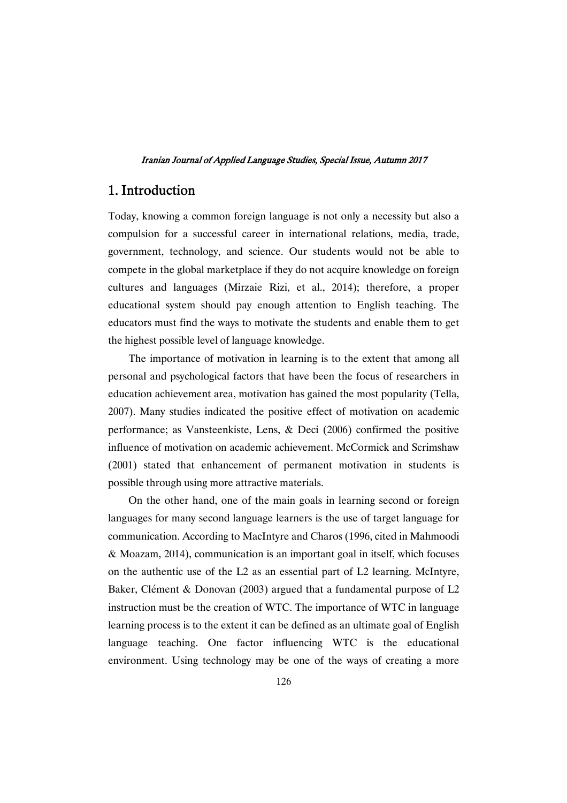# 1.Introduction

Today, knowing a common foreign language is not only a necessity but also a compulsion for a successful career in international relations, media, trade, government, technology, and science. Our students would not be able to compete in the global marketplace if they do not acquire knowledge on foreign cultures and languages (Mirzaie Rizi, et al., 2014); therefore, a proper educational system should pay enough attention to English teaching. The educators must find the ways to motivate the students and enable them to get the highest possible level of language knowledge.

The importance of motivation in learning is to the extent that among all personal and psychological factors that have been the focus of researchers in education achievement area, motivation has gained the most popularity (Tella, 2007). Many studies indicated the positive effect of motivation on academic performance; as Vansteenkiste, Lens, & Deci (2006) confirmed the positive influence of motivation on academic achievement. McCormick and Scrimshaw (2001) stated that enhancement of permanent motivation in students is possible through using more attractive materials.

On the other hand, one of the main goals in learning second or foreign languages for many second language learners is the use of target language for communication. According to MacIntyre and Charos (1996, cited in Mahmoodi & Moazam, 2014), communication is an important goal in itself, which focuses on the authentic use of the L2 as an essential part of L2 learning. McIntyre, Baker, Clément & Donovan (2003) argued that a fundamental purpose of L2 instruction must be the creation of WTC. The importance of WTC in language learning process is to the extent it can be defined as an ultimate goal of English language teaching. One factor influencing WTC is the educational environment. Using technology may be one of the ways of creating a more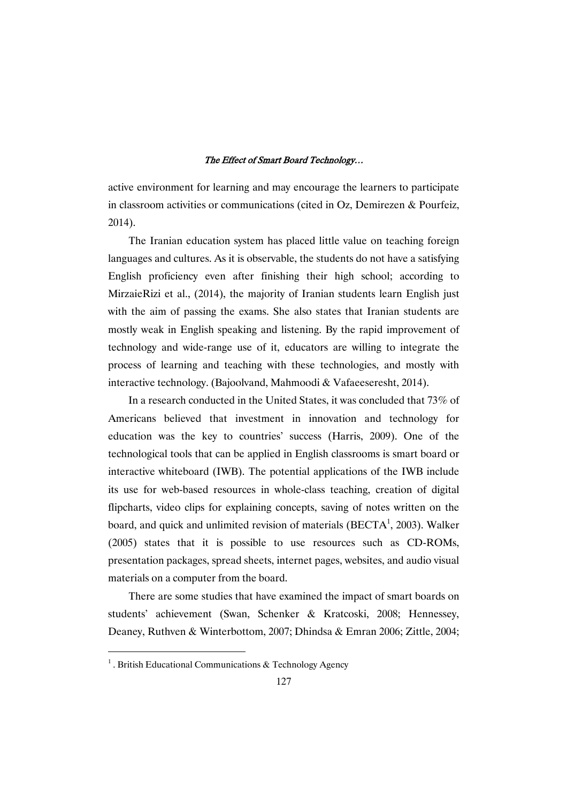active environment for learning and may encourage the learners to participate in classroom activities or communications (cited in Oz, Demirezen & Pourfeiz, 2014).

The Iranian education system has placed little value on teaching foreign languages and cultures. As it is observable, the students do not have a satisfying English proficiency even after finishing their high school; according to MirzaieRizi et al., (2014), the majority of Iranian students learn English just with the aim of passing the exams. She also states that Iranian students are mostly weak in English speaking and listening. By the rapid improvement of technology and wide-range use of it, educators are willing to integrate the process of learning and teaching with these technologies, and mostly with interactive technology. (Bajoolvand, Mahmoodi & Vafaeeseresht, 2014).

In a research conducted in the United States, it was concluded that 73% of Americans believed that investment in innovation and technology for education was the key to countries' success (Harris, 2009). One of the technological tools that can be applied in English classrooms is smart board or interactive whiteboard (IWB). The potential applications of the IWB include its use for web-based resources in whole-class teaching, creation of digital flipcharts, video clips for explaining concepts, saving of notes written on the board, and quick and unlimited revision of materials (BECTA<sup>1</sup>, 2003). Walker (2005) states that it is possible to use resources such as CD-ROMs, presentation packages, spread sheets, internet pages, websites, and audio visual materials on a computer from the board.

There are some studies that have examined the impact of smart boards on students' achievement (Swan, Schenker & Kratcoski, 2008; Hennessey, Deaney, Ruthven & Winterbottom, 2007; Dhindsa & Emran 2006; Zittle, 2004;

<sup>&</sup>lt;sup>1</sup>. British Educational Communications  $\&$  Technology Agency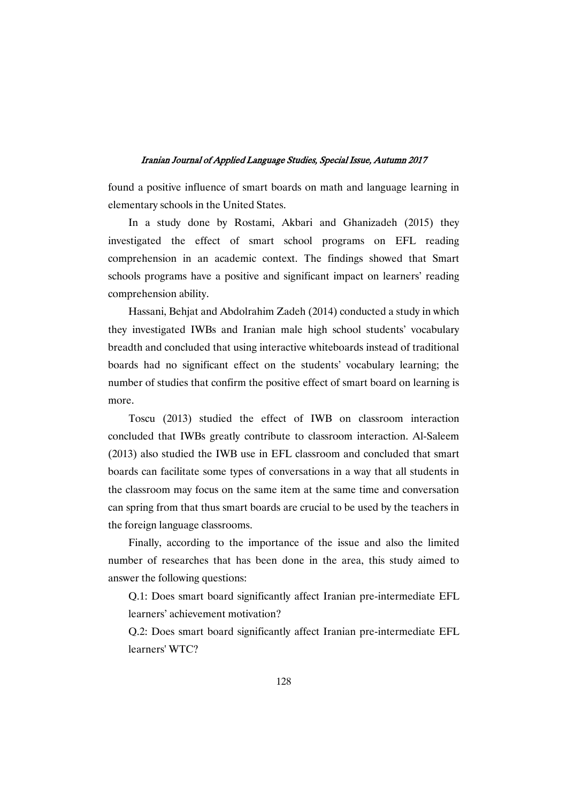found a positive influence of smart boards on math and language learning in elementary schools in the United States.

In a study done by Rostami, Akbari and Ghanizadeh (2015) they investigated the effect of smart school programs on EFL reading comprehension in an academic context. The findings showed that Smart schools programs have a positive and significant impact on learners' reading comprehension ability.

Hassani, Behjat and Abdolrahim Zadeh (2014) conducted a study in which they investigated IWBs and Iranian male high school students' vocabulary breadth and concluded that using interactive whiteboards instead of traditional boards had no significant effect on the students' vocabulary learning; the number of studies that confirm the positive effect of smart board on learning is more.

Toscu (2013) studied the effect of IWB on classroom interaction concluded that IWBs greatly contribute to classroom interaction. Al-Saleem (2013) also studied the IWB use in EFL classroom and concluded that smart boards can facilitate some types of conversations in a way that all students in the classroom may focus on the same item at the same time and conversation can spring from that thus smart boards are crucial to be used by the teachers in the foreign language classrooms.

Finally, according to the importance of the issue and also the limited number of researches that has been done in the area, this study aimed to answer the following questions:

Q.1: Does smart board significantly affect Iranian pre-intermediate EFL learners' achievement motivation?

Q.2: Does smart board significantly affect Iranian pre-intermediate EFL learners' WTC?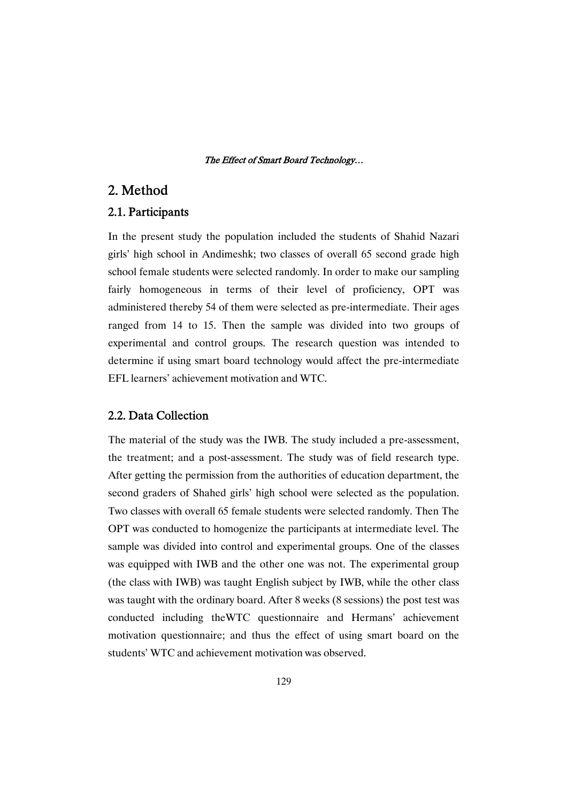# 2.Method

## 2.1.Participants

In the present study the population included the students of Shahid Nazari girls' high school in Andimeshk; two classes of overall 65 second grade high school female students were selected randomly. In order to make our sampling fairly homogeneous in terms of their level of proficiency, OPT was administered thereby 54 of them were selected as pre-intermediate. Their ages ranged from 14 to 15. Then the sample was divided into two groups of experimental and control groups. The research question was intended to determine if using smart board technology would affect the pre-intermediate EFL learners' achievement motivation and WTC.

## 2.2. Data Collection

The material of the study was the IWB. The study included a pre-assessment, the treatment; and a post-assessment. The study was of field research type. After getting the permission from the authorities of education department, the second graders of Shahed girls' high school were selected as the population. Two classes with overall 65 female students were selected randomly. Then The OPT was conducted to homogenize the participants at intermediate level. The sample was divided into control and experimental groups. One of the classes was equipped with IWB and the other one was not. The experimental group (the class with IWB) was taught English subject by IWB, while the other class was taught with the ordinary board. After 8 weeks (8 sessions) the post test was conducted including theWTC questionnaire and Hermans' achievement motivation questionnaire; and thus the effect of using smart board on the students' WTC and achievement motivation was observed.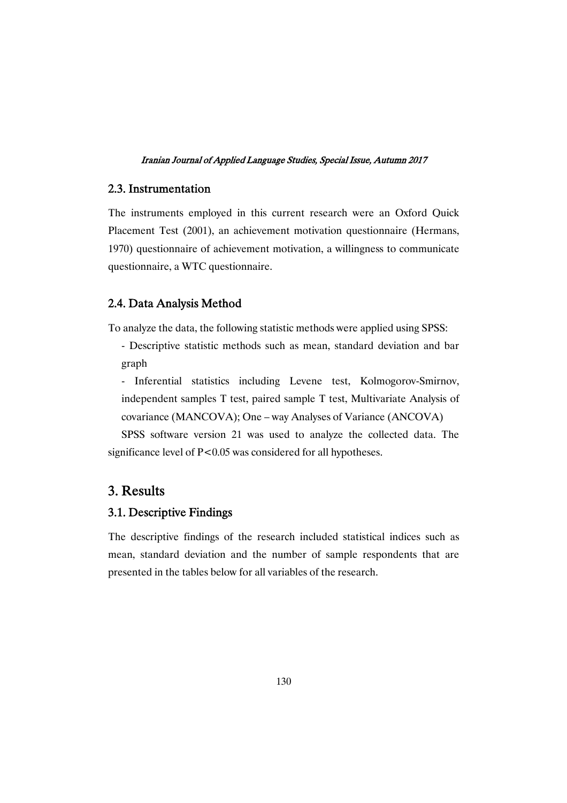## 2.3.Instrumentation

The instruments employed in this current research were an Oxford Quick Placement Test (2001), an achievement motivation questionnaire (Hermans, 1970) questionnaire of achievement motivation, a willingness to communicate questionnaire, a WTC questionnaire.

### 2.4. Data Analysis Method

To analyze the data, the following statistic methods were applied using SPSS:

- Descriptive statistic methods such as mean, standard deviation and bar graph

- Inferential statistics including Levene test, Kolmogorov-Smirnov, independent samples T test, paired sample T test, Multivariate Analysis of covariance (MANCOVA); One – way Analyses of Variance (ANCOVA)

SPSS software version 21 was used to analyze the collected data. The significance level of P<0.05 was considered for all hypotheses.

# 3.Results

## 3.1. Descriptive Findings

The descriptive findings of the research included statistical indices such as mean, standard deviation and the number of sample respondents that are presented in the tables below for all variables of the research.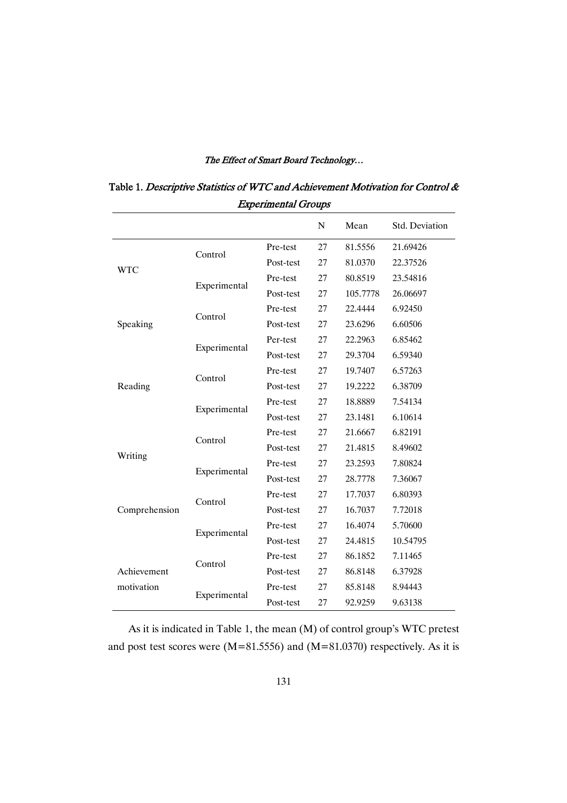|               |              |           | N  | Mean     | Std. Deviation |  |  |  |  |
|---------------|--------------|-----------|----|----------|----------------|--|--|--|--|
|               |              | Pre-test  | 27 | 81.5556  | 21.69426       |  |  |  |  |
|               | Control      | Post-test | 27 | 81.0370  | 22.37526       |  |  |  |  |
| <b>WTC</b>    |              | Pre-test  | 27 | 80.8519  | 23.54816       |  |  |  |  |
|               | Experimental | Post-test | 27 | 105.7778 | 26.06697       |  |  |  |  |
|               | Control      | Pre-test  | 27 | 22.4444  | 6.92450        |  |  |  |  |
| Speaking      |              | Post-test | 27 | 23.6296  | 6.60506        |  |  |  |  |
|               |              | Per-test  | 27 | 22.2963  | 6.85462        |  |  |  |  |
|               | Experimental | Post-test | 27 | 29.3704  | 6.59340        |  |  |  |  |
| Reading       | Control      | Pre-test  | 27 | 19.7407  | 6.57263        |  |  |  |  |
|               |              | Post-test | 27 | 19.2222  | 6.38709        |  |  |  |  |
|               |              | Pre-test  | 27 | 18.8889  | 7.54134        |  |  |  |  |
|               | Experimental | Post-test | 27 | 23.1481  | 6.10614        |  |  |  |  |
|               | Control      | Pre-test  | 27 | 21.6667  | 6.82191        |  |  |  |  |
| Writing       |              | Post-test | 27 | 21.4815  | 8.49602        |  |  |  |  |
|               | Experimental | Pre-test  | 27 | 23.2593  | 7.80824        |  |  |  |  |
|               |              | Post-test | 27 | 28.7778  | 7.36067        |  |  |  |  |
|               | Control      | Pre-test  | 27 | 17.7037  | 6.80393        |  |  |  |  |
| Comprehension |              | Post-test | 27 | 16.7037  | 7.72018        |  |  |  |  |
|               | Experimental | Pre-test  | 27 | 16.4074  | 5.70600        |  |  |  |  |
|               |              | Post-test | 27 | 24.4815  | 10.54795       |  |  |  |  |
|               | Control      | Pre-test  | 27 | 86.1852  | 7.11465        |  |  |  |  |
| Achievement   |              | Post-test | 27 | 86.8148  | 6.37928        |  |  |  |  |
| motivation    | Experimental | Pre-test  | 27 | 85.8148  | 8.94443        |  |  |  |  |
|               |              | Post-test | 27 | 92.9259  | 9.63138        |  |  |  |  |

Table 1. Descriptive Statistics of WTC and Achievement Motivation for Control & Experimental Groups

As it is indicated in Table 1, the mean (M) of control group's WTC pretest and post test scores were (M=81.5556) and (M=81.0370) respectively. As it is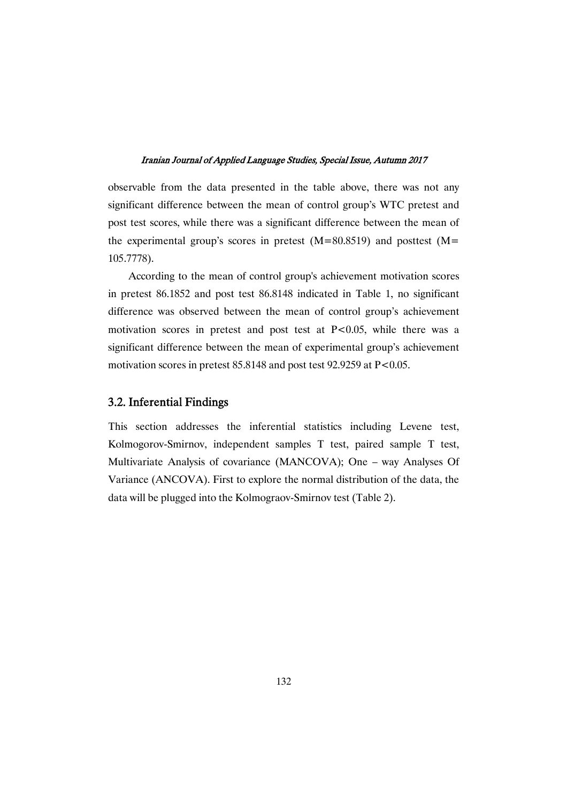observable from the data presented in the table above, there was not any significant difference between the mean of control group's WTC pretest and post test scores, while there was a significant difference between the mean of the experimental group's scores in pretest  $(M=80.8519)$  and posttest  $(M=$ 105.7778).

According to the mean of control group's achievement motivation scores in pretest 86.1852 and post test 86.8148 indicated in Table 1, no significant difference was observed between the mean of control group's achievement motivation scores in pretest and post test at P<0.05, while there was a significant difference between the mean of experimental group's achievement motivation scores in pretest  $85.8148$  and post test  $92.9259$  at  $P < 0.05$ .

## 3.2. Inferential Findings

This section addresses the inferential statistics including Levene test, Kolmogorov-Smirnov, independent samples T test, paired sample T test, Multivariate Analysis of covariance (MANCOVA); One – way Analyses Of Variance (ANCOVA). First to explore the normal distribution of the data, the data will be plugged into the Kolmograov-Smirnov test (Table 2).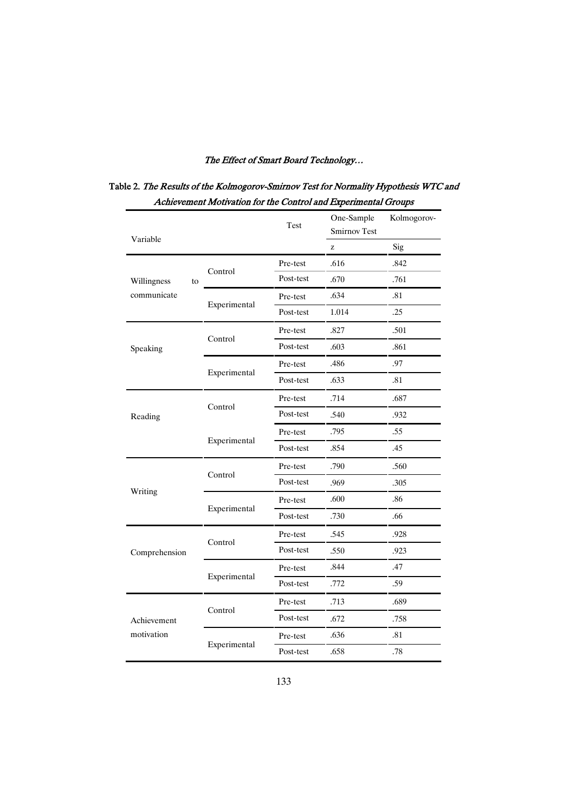| Variable          |              | Test      | One-Sample<br><b>Smirnov Test</b> | Kolmogorov- |  |
|-------------------|--------------|-----------|-----------------------------------|-------------|--|
|                   |              |           | Z                                 | Sig         |  |
|                   | Control      | Pre-test  | .616                              | .842        |  |
| Willingness<br>to |              | Post-test | .670                              | .761        |  |
| communicate       |              | Pre-test  | .634                              | .81         |  |
|                   | Experimental | Post-test | 1.014                             | .25         |  |
|                   |              | Pre-test  | .827                              | .501        |  |
| Speaking          | Control      | Post-test | .603                              | .861        |  |
|                   |              | Pre-test  | .486                              | .97         |  |
|                   | Experimental | Post-test | .633                              | .81         |  |
|                   |              | Pre-test  | .714                              | .687        |  |
| Reading           | Control      | Post-test | .540                              | .932        |  |
|                   |              | Pre-test  | .795                              | .55         |  |
|                   | Experimental | Post-test | .854                              | .45         |  |
|                   |              | Pre-test  | .790                              | .560        |  |
|                   | Control      | Post-test | .969                              | .305        |  |
| Writing           |              | Pre-test  | .600                              | .86         |  |
|                   | Experimental | Post-test | .730                              | .66         |  |
|                   |              | Pre-test  | .545                              | .928        |  |
| Comprehension     | Control      | Post-test | .550                              | .923        |  |
|                   |              | Pre-test  | .844                              | .47         |  |
|                   | Experimental | Post-test | .772                              | .59         |  |
|                   |              | Pre-test  | .713                              | .689        |  |
| Achievement       | Control      | Post-test | .672                              | .758        |  |
| motivation        |              | Pre-test  | .636                              | .81         |  |
|                   | Experimental | Post-test | .658                              | .78         |  |

# Table 2. The Results of the Kolmogorov-Smirnov Test for Normality Hypothesis WTC and Achievement Motivation for the Control and Experimental Groups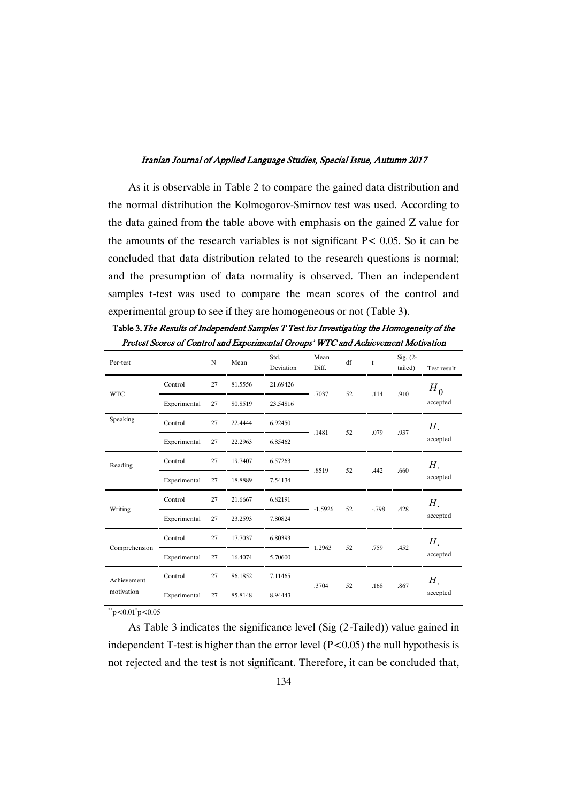As it is observable in Table 2 to compare the gained data distribution and the normal distribution the Kolmogorov-Smirnov test was used. According to the data gained from the table above with emphasis on the gained Z value for the amounts of the research variables is not significant  $P < 0.05$ . So it can be concluded that data distribution related to the research questions is normal; and the presumption of data normality is observed. Then an independent samples t-test was used to compare the mean scores of the control and experimental group to see if they are homogeneous or not (Table 3).

| Per-test      |              | N  | Mean    | Std.<br>Deviation | Mean<br>Diff. | df | t      | Sig. $(2 -$<br>tailed) | Test result |
|---------------|--------------|----|---------|-------------------|---------------|----|--------|------------------------|-------------|
| <b>WTC</b>    | Control      | 27 | 81.5556 | 21.69426          | .7037         | 52 | .114   | .910                   | $H_0$       |
|               | Experimental | 27 | 80.8519 | 23.54816          |               |    |        |                        | accepted    |
| Speaking      | Control      | 27 | 22.4444 | 6.92450           |               | 52 |        |                        | Н.          |
|               | Experimental | 27 | 22.2963 | 6.85462           | .1481         |    | .079   | .937                   | accepted    |
| Reading       | Control      | 27 | 19.7407 | 6.57263           |               | 52 | .442   | .660                   | Н.          |
|               | Experimental | 27 | 18.8889 | 7.54134           | .8519         |    |        |                        | accepted    |
|               | Control      | 27 | 21.6667 | 6.82191           | $-1.5926$     | 52 | $-798$ | .428                   | Н.          |
| Writing       | Experimental | 27 | 23.2593 | 7.80824           |               |    |        |                        | accepted    |
|               | Control      | 27 | 17.7037 | 6.80393           |               |    |        |                        | Н.          |
| Comprehension | Experimental | 27 | 16.4074 | 5.70600           | 1.2963        | 52 | .759   | .452                   | accepted    |
| Achievement   | Control      | 27 | 86.1852 | 7.11465           |               |    |        |                        | Н.          |
| motivation    | Experimental | 27 | 85.8148 | 8.94443           | .3704         | 52 | .168   | .867                   | accepted    |

Table 3. The Results of Independent Samples T Test for Investigating the Homogeneity of the Pretest Scores of Control and Experimental Groups' WTC and Achievement Motivation

 $\degree$ "p<0.01 $\degree$ p<0.05

As Table 3 indicates the significance level (Sig (2-Tailed)) value gained in independent T-test is higher than the error level  $(P<0.05)$  the null hypothesis is not rejected and the test is not significant. Therefore, it can be concluded that,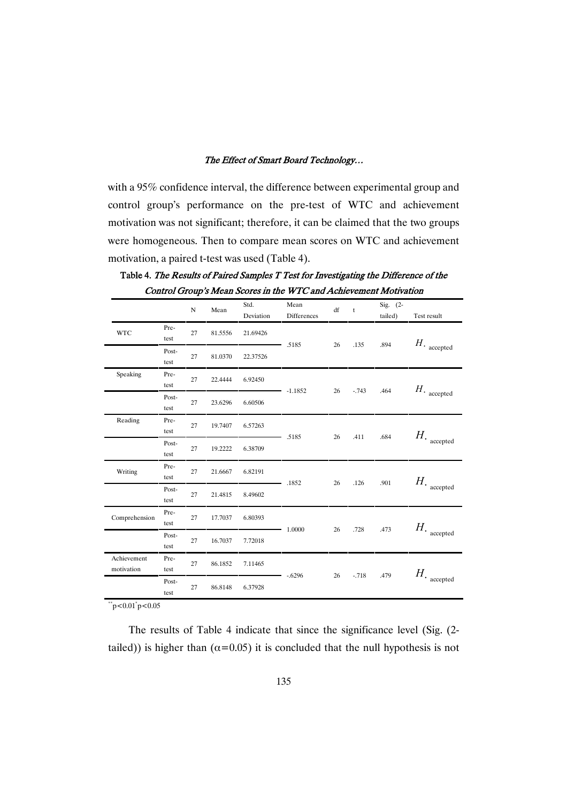with a 95% confidence interval, the difference between experimental group and control group's performance on the pre-test of WTC and achievement motivation was not significant; therefore, it can be claimed that the two groups were homogeneous. Then to compare mean scores on WTC and achievement motivation, a paired t-test was used (Table 4).

|                           |               |             |         |                   | Control Croup's Mean Scores in the WTC and Achievement Motivation |    |              |                       |                                       |
|---------------------------|---------------|-------------|---------|-------------------|-------------------------------------------------------------------|----|--------------|-----------------------|---------------------------------------|
|                           |               | $\mathbf N$ | Mean    | Std.<br>Deviation | Mean<br>Differences                                               | df | $\mathbf{t}$ | Sig. $(2-$<br>tailed) | Test result                           |
| <b>WTC</b>                | Pre-<br>test  | 27          | 81.5556 | 21.69426          |                                                                   |    |              |                       |                                       |
|                           | Post-<br>test | 27          | 81.0370 | 22.37526          | .5185                                                             | 26 | .135         | .894                  | $H$ . accepted                        |
| Speaking                  | Pre-<br>test  | 27          | 22.4444 | 6.92450           |                                                                   |    |              |                       |                                       |
|                           | Post-<br>test | 27          | 23.6296 | 6.60506           | $-1.1852$                                                         | 26 | $-743$       | .464                  | $H_{\rm \cdot~accepted}$              |
| Reading                   | Pre-<br>test  | 27          | 19.7407 | 6.57263           |                                                                   | 26 | .411         | .684                  |                                       |
|                           | Post-<br>test | 27          | 19.2222 | 6.38709           | .5185                                                             |    |              |                       | $H_{\rm \boldsymbol{\cdot}}$ accepted |
| Writing                   | Pre-<br>test  | 27          | 21.6667 | 6.82191           | .1852                                                             |    | .126         | .901                  | $H_{\rm \cdot~accepted}$              |
|                           | Post-<br>test | 27          | 21.4815 | 8.49602           |                                                                   | 26 |              |                       |                                       |
| Comprehension             | Pre-<br>test  | 27          | 17.7037 | 6.80393           |                                                                   | 26 | .728         |                       | $H_{\star}$                           |
|                           | Post-<br>test | 27          | 16.7037 | 7.72018           | 1.0000                                                            |    |              | .473                  | accepted                              |
| Achievement<br>motivation | Pre-<br>test  | 27          | 86.1852 | 7.11465           |                                                                   |    | $-718$       |                       |                                       |
|                           | Post-<br>test | 27          | 86.8148 | 6.37928           | $-6296$                                                           | 26 |              | .479                  | $H_{\rm \star}$ accepted              |

Table 4. The Results of Paired Samples T Test for Investigating the Difference of the ControlGroup'sMeanScoresintheWTCandAchievementMotivation

 $\degree$ "p<0.01 $\degree$ p<0.05

The results of Table 4 indicate that since the significance level (Sig. (2 tailed)) is higher than ( $\alpha$ =0.05) it is concluded that the null hypothesis is not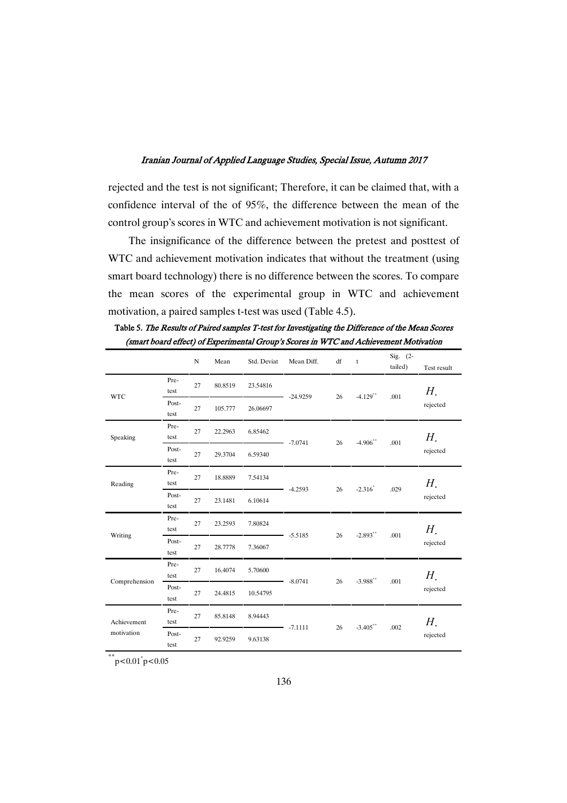rejected and the test is not significant; Therefore, it can be claimed that, with a confidence interval of the of 95%, the difference between the mean of the control group's scores in WTC and achievement motivation is not significant.

The insignificance of the difference between the pretest and posttest of WTC and achievement motivation indicates that without the treatment (using smart board technology) there is no difference between the scores. To compare the mean scores of the experimental group in WTC and achievement motivation, a paired samples t-test was used (Table 4.5).

|                           |               | ${\bf N}$ | Mean    | Std. Deviat | Mean Diff. | df | $\mathsf t$ | Sig. $(2-$<br>tailed) | Test result |
|---------------------------|---------------|-----------|---------|-------------|------------|----|-------------|-----------------------|-------------|
| <b>WTC</b>                | Pre-<br>test  | 27        | 80.8519 | 23.54816    | $-24.9259$ | 26 | $-4.129$ ** | .001                  | Н.          |
|                           | Post-<br>test | 27        | 105.777 | 26.06697    |            |    |             |                       | rejected    |
| Speaking                  | Pre-<br>test  | 27        | 22.2963 | 6.85462     | $-7.0741$  | 26 | $-4.906$ ** | .001                  | Н.          |
|                           | Post-<br>test | 27        | 29.3704 | 6.59340     |            |    |             |                       | rejected    |
| Reading                   | Pre-<br>test  | 27        | 18.8889 | 7.54134     | $-4.2593$  | 26 | $-2.316^*$  | .029                  | Н.          |
|                           | Post-<br>test | 27        | 23.1481 | 6.10614     |            |    |             |                       | rejected    |
| Writing                   | Pre-<br>test  | 27        | 23.2593 | 7.80824     | $-5.5185$  | 26 | $-2.893$ ** | .001                  | Н.          |
|                           | Post-<br>test | 27        | 28.7778 | 7.36067     |            |    |             |                       | rejected    |
|                           | Pre-<br>test  | 27        | 16.4074 | 5.70600     |            | 26 | $-3.988$ ** |                       | Н.          |
| Comprehension             | Post-<br>test | 27        | 24.4815 | 10.54795    | $-8.0741$  |    |             | .001                  | rejected    |
| Achievement<br>motivation | Pre-<br>test  | 27        | 85.8148 | 8.94443     |            |    | $-3.405$ ** |                       | Н.          |
|                           | Post-<br>test | 27        | 92.9259 | 9.63138     | $-7.1111$  | 26 |             | .002                  | rejected    |

Table 5. The Results of Paired samples T-test for Investigating the Difference of the Mean Scores (smart board effect) of Experimental Group's Scores in WTC and Achievement Motivation

 $*$ \*\*p<0.01\*p<0.05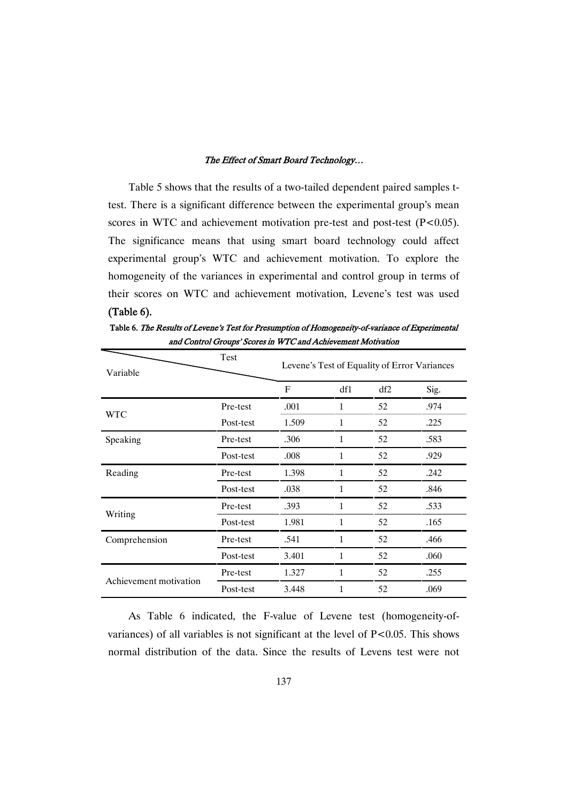Table 5 shows that the results of a two-tailed dependent paired samples ttest. There is a significant difference between the experimental group's mean scores in WTC and achievement motivation pre-test and post-test (P<0.05). The significance means that using smart board technology could affect experimental group's WTC and achievement motivation. To explore the homogeneity of the variances in experimental and control group in terms of their scores on WTC and achievement motivation, Levene's test was used  $(Table 6).$ 

Table 6. The Results of Levene's Test for Presumption of Homogeneity-of-variance of Experimental and Control Groups' Scores in WTC and Achievement Motivation

| Variable               | Test      | Levene's Test of Equality of Error Variances |              |     |      |  |  |  |  |
|------------------------|-----------|----------------------------------------------|--------------|-----|------|--|--|--|--|
|                        |           | $\mathbf{F}$                                 | df1          | df2 | Sig. |  |  |  |  |
|                        | Pre-test  | .001                                         | $\mathbf{1}$ | 52  | .974 |  |  |  |  |
| <b>WTC</b>             | Post-test | 1.509                                        | 1            | 52  | .225 |  |  |  |  |
| Speaking               | Pre-test  | .306                                         | 1            | 52  | .583 |  |  |  |  |
|                        | Post-test | .008                                         | 1            | 52  | .929 |  |  |  |  |
| Reading                | Pre-test  | 1.398                                        | 1            | 52  | .242 |  |  |  |  |
|                        | Post-test | .038                                         | 1            | 52  | .846 |  |  |  |  |
|                        | Pre-test  | .393                                         | 1            | 52  | .533 |  |  |  |  |
| Writing                | Post-test | 1.981                                        | 1            | 52  | .165 |  |  |  |  |
| Comprehension          | Pre-test  | .541                                         | 1            | 52  | .466 |  |  |  |  |
|                        | Post-test | 3.401                                        | 1            | 52  | .060 |  |  |  |  |
|                        | Pre-test  | 1.327                                        | 1            | 52  | .255 |  |  |  |  |
| Achievement motivation | Post-test | 3.448                                        | 1            | 52  | .069 |  |  |  |  |

As Table 6 indicated, the F-value of Levene test (homogeneity-ofvariances) of all variables is not significant at the level of P<0.05. This shows normal distribution of the data. Since the results of Levens test were not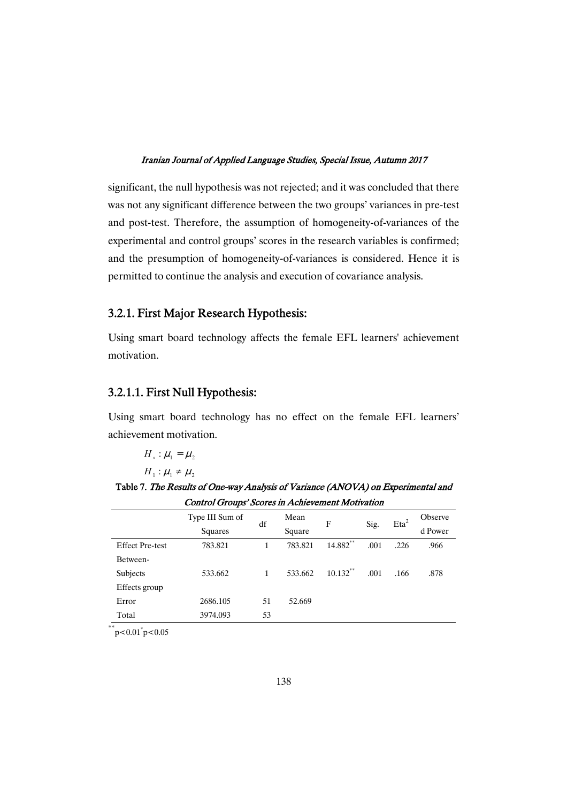significant, the null hypothesis was not rejected; and it was concluded that there was not any significant difference between the two groups' variances in pre-test and post-test. Therefore, the assumption of homogeneity-of-variances of the experimental and control groups' scores in the research variables is confirmed; and the presumption of homogeneity-of-variances is considered. Hence it is permitted to continue the analysis and execution of covariance analysis.

## 3.2.1. First Major Research Hypothesis:

Using smart board technology affects the female EFL learners' achievement motivation.

## 3.2.1.1. First Null Hypothesis:

Using smart board technology has no effect on the female EFL learners' achievement motivation.

 $H_{\circ}$  :  $\mu_1 = \mu_2$ 

 $H_1$  :  $\mu_1 \neq \mu_2$ 

Table 7. The Results of One-way Analysis of Variance (ANOVA) on Experimental and Control Groups' Scores in Achievement Motivation

|                        | Type III Sum of | df | Mean    | F           | Sig. | $Eta^2$ | <b>Observe</b> |
|------------------------|-----------------|----|---------|-------------|------|---------|----------------|
|                        | Squares         |    | Square  |             |      |         | d Power        |
| <b>Effect Pre-test</b> | 783.821         | 1  | 783.821 | 14.882**    | .001 | .226    | .966           |
| Between-               |                 |    |         |             |      |         |                |
| Subjects               | 533.662         | 1  | 533.662 | $10.132$ ** | .001 | .166    | .878           |
| Effects group          |                 |    |         |             |      |         |                |
| Error                  | 2686.105        | 51 | 52.669  |             |      |         |                |
| Total                  | 3974.093        | 53 |         |             |      |         |                |

 $*$ \*\*p<0.01\*p<0.05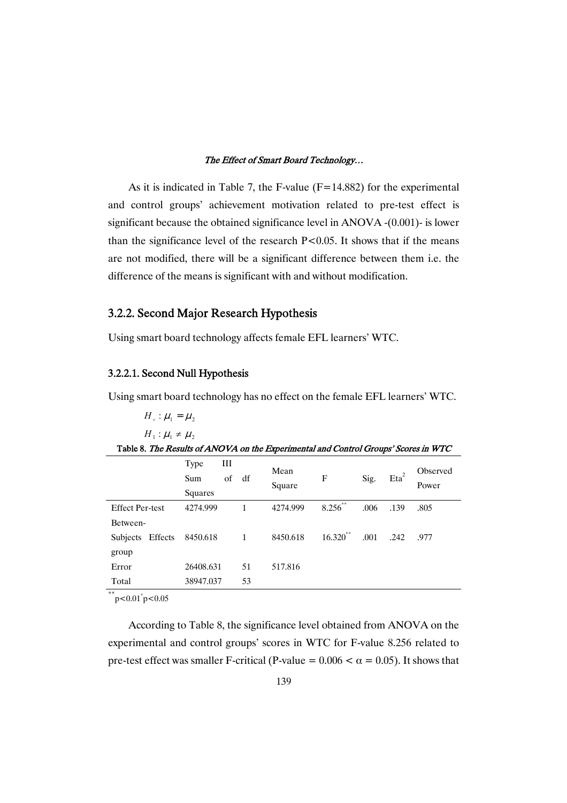As it is indicated in Table 7, the F-value  $(F=14.882)$  for the experimental and control groups' achievement motivation related to pre-test effect is significant because the obtained significance level in ANOVA -(0.001)- is lower than the significance level of the research  $P<0.05$ . It shows that if the means are not modified, there will be a significant difference between them i.e. the difference of the means is significant with and without modification.

# 3.2.2. Second Major Research Hypothesis

Using smart board technology affects female EFL learners' WTC.

## 3.2.2.1. Second Null Hypothesis

Using smart board technology has no effect on the female EFL learners' WTC.

```
H_{\circ}: \mu_1 = \mu_2H_1 : \mu_1 \neq \mu_2
```

|                                        | Table 8. The Results of ANOVA on the Experimental and Control Groups' Scores in WTC |
|----------------------------------------|-------------------------------------------------------------------------------------|
| $T_{\text{true}}$ and $T_{\text{III}}$ |                                                                                     |

|                        | 1 ype<br>Ш<br>οf<br>Sum<br>Squares | df | Mean<br>Square | F           | Sig. | $Eta^2$ | Observed<br>Power |
|------------------------|------------------------------------|----|----------------|-------------|------|---------|-------------------|
| <b>Effect Per-test</b> | 4274.999                           | 1  | 4274.999       | $8.256$ **  | .006 | .139    | .805              |
| Between-               |                                    |    |                |             |      |         |                   |
| Subjects Effects       | 8450.618                           | 1  | 8450.618       | $16.320$ ** | .001 | .242    | .977              |
| group                  |                                    |    |                |             |      |         |                   |
| Error                  | 26408.631                          | 51 | 517.816        |             |      |         |                   |
| Total                  | 38947.037                          | 53 |                |             |      |         |                   |

 $*$ \*\*p<0.01\*p<0.05

According to Table 8, the significance level obtained from ANOVA on the experimental and control groups' scores in WTC for F-value 8.256 related to pre-test effect was smaller F-critical (P-value =  $0.006 < \alpha = 0.05$ ). It shows that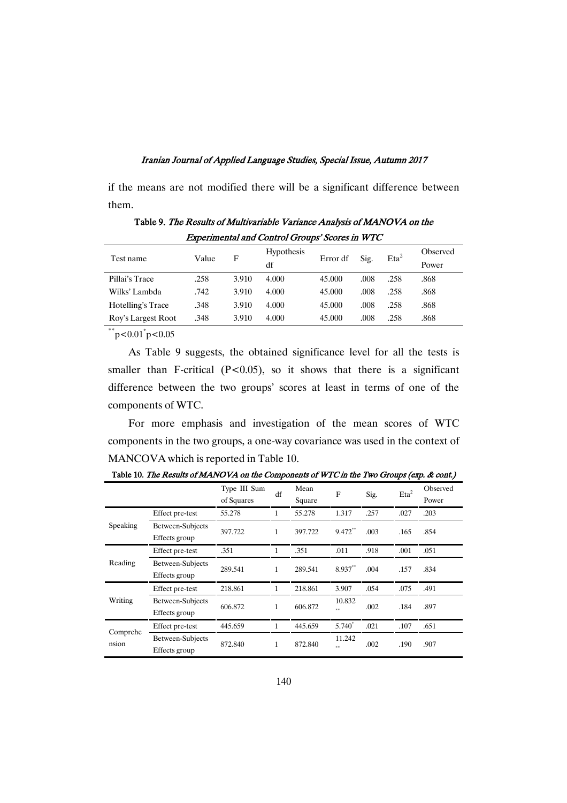if the means are not modified there will be a significant difference between them.

Table 9. The Results of Multivariable Variance Analysis of MANOVA on the Experimental and Control Groups' Scores in WTC

| Test name          | Value | F     | <b>Hypothesis</b> | Error df | Sig. | $Eta^2$ | Observed |
|--------------------|-------|-------|-------------------|----------|------|---------|----------|
|                    |       |       | df                |          |      |         | Power    |
| Pillai's Trace     | .258  | 3.910 | 4.000             | 45,000   | .008 | .258    | .868     |
| Wilks' Lambda      | .742  | 3.910 | 4.000             | 45,000   | .008 | .258    | .868     |
| Hotelling's Trace  | .348  | 3.910 | 4.000             | 45,000   | .008 | .258    | .868     |
| Roy's Largest Root | .348  | 3.910 | 4.000             | 45,000   | .008 | .258    | .868     |
| **                 |       |       |                   |          |      |         |          |

 $*$ \*\*p<0.01\*p<0.05

As Table 9 suggests, the obtained significance level for all the tests is smaller than F-critical  $(P<0.05)$ , so it shows that there is a significant difference between the two groups' scores at least in terms of one of the components of WTC.

For more emphasis and investigation of the mean scores of WTC components in the two groups, a one-way covariance was used in the context of MANCOVA which is reported in Table 10.

|                   |                                   | Type III Sum<br>of Squares | df | Mean<br>Square | F             | Sig. | Eta <sup>2</sup> | Observed<br>Power |
|-------------------|-----------------------------------|----------------------------|----|----------------|---------------|------|------------------|-------------------|
|                   | Effect pre-test                   | 55.278                     |    | 55.278         | 1.317         | .257 | .027             | .203              |
| Speaking          | Between-Subjects<br>Effects group | 397.722                    | 1  | 397.722        | 9.472**       | .003 | .165             | .854              |
| Reading           | Effect pre-test                   | .351                       |    | .351           | .011          | .918 | .001             | .051              |
|                   | Between-Subjects<br>Effects group | 289.541                    | 1  | 289.541        | 8.937**       | .004 | .157             | .834              |
|                   | Effect pre-test                   | 218.861                    |    | 218.861        | 3.907         | .054 | .075             | .491              |
| Writing           | Between-Subjects<br>Effects group | 606.872                    | 1  | 606.872        | 10.832        | .002 | .184             | .897              |
|                   | Effect pre-test                   | 445.659                    |    | 445.659        | 5.740         | .021 | .107             | .651              |
| Comprehe<br>nsion | Between-Subjects<br>Effects group | 872.840                    | 1  | 872.840        | 11.242<br>o o | .002 | .190             | .907              |

Table 10. The Results of MANOVA on the Components of WTC in the Two Groups (exp. & cont.)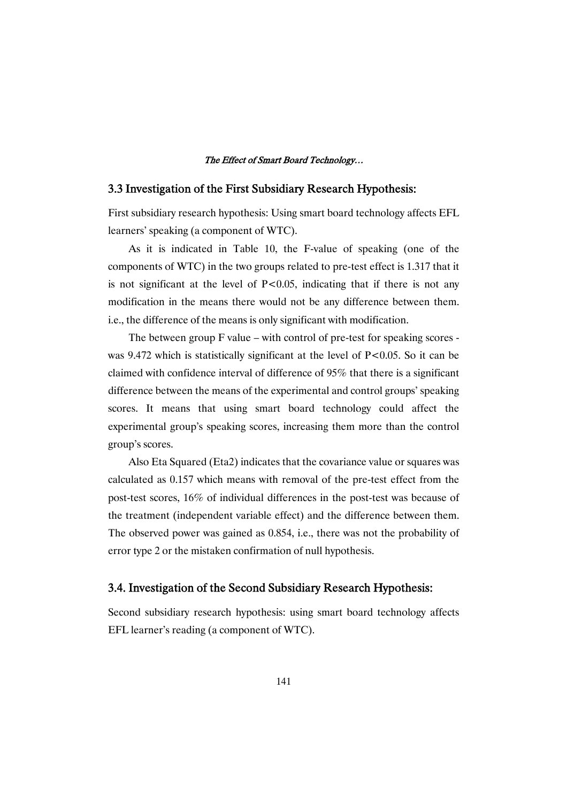## 3.3 Investigation of the First Subsidiary Research Hypothesis:

First subsidiary research hypothesis: Using smart board technology affects EFL learners' speaking (a component of WTC).

As it is indicated in Table 10, the F-value of speaking (one of the components of WTC) in the two groups related to pre-test effect is 1.317 that it is not significant at the level of  $P<0.05$ , indicating that if there is not any modification in the means there would not be any difference between them. i.e., the difference of the means is only significant with modification.

The between group F value – with control of pre-test for speaking scores was 9.472 which is statistically significant at the level of  $P<0.05$ . So it can be claimed with confidence interval of difference of 95% that there is a significant difference between the means of the experimental and control groups' speaking scores. It means that using smart board technology could affect the experimental group's speaking scores, increasing them more than the control group's scores.

Also Eta Squared (Eta2) indicates that the covariance value or squares was calculated as 0.157 which means with removal of the pre-test effect from the post-test scores, 16% of individual differences in the post-test was because of the treatment (independent variable effect) and the difference between them. The observed power was gained as 0.854, i.e., there was not the probability of error type 2 or the mistaken confirmation of null hypothesis.

### 3.4. Investigation of the Second Subsidiary Research Hypothesis:

Second subsidiary research hypothesis: using smart board technology affects EFL learner's reading (a component of WTC).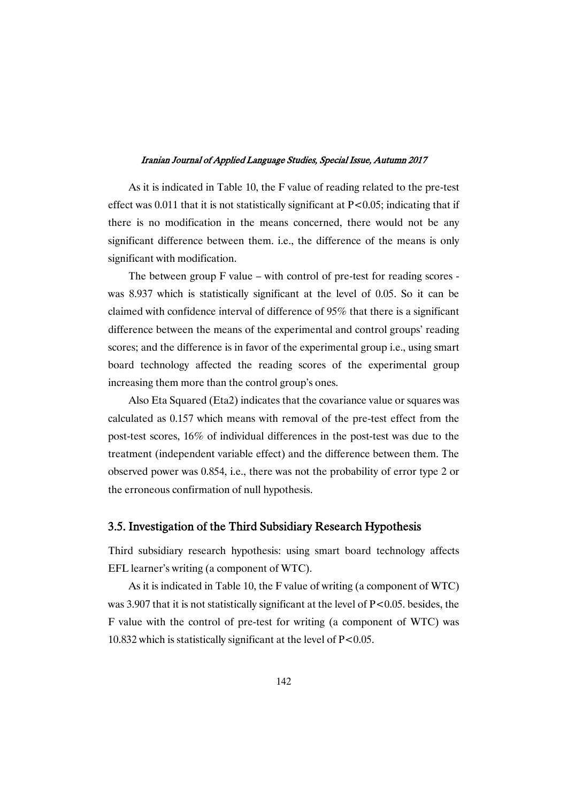As it is indicated in Table 10, the F value of reading related to the pre-test effect was 0.011 that it is not statistically significant at  $P<0.05$ ; indicating that if there is no modification in the means concerned, there would not be any significant difference between them. i.e., the difference of the means is only significant with modification.

The between group F value – with control of pre-test for reading scores was 8.937 which is statistically significant at the level of 0.05. So it can be claimed with confidence interval of difference of 95% that there is a significant difference between the means of the experimental and control groups' reading scores; and the difference is in favor of the experimental group i.e., using smart board technology affected the reading scores of the experimental group increasing them more than the control group's ones.

Also Eta Squared (Eta2) indicates that the covariance value or squares was calculated as 0.157 which means with removal of the pre-test effect from the post-test scores, 16% of individual differences in the post-test was due to the treatment (independent variable effect) and the difference between them. The observed power was 0.854, i.e., there was not the probability of error type 2 or the erroneous confirmation of null hypothesis.

### 3.5. Investigation of the Third Subsidiary Research Hypothesis

Third subsidiary research hypothesis: using smart board technology affects EFL learner's writing (a component of WTC).

As it is indicated in Table 10, the F value of writing (a component of WTC) was 3.907 that it is not statistically significant at the level of P<0.05. besides, the F value with the control of pre-test for writing (a component of WTC) was 10.832 which is statistically significant at the level of P<0.05.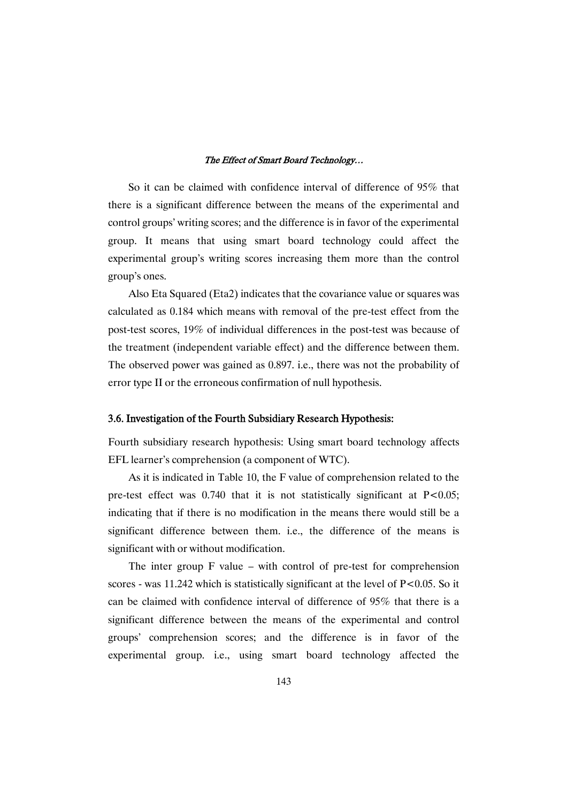So it can be claimed with confidence interval of difference of 95% that there is a significant difference between the means of the experimental and control groups' writing scores; and the difference is in favor of the experimental group. It means that using smart board technology could affect the experimental group's writing scores increasing them more than the control group's ones.

Also Eta Squared (Eta2) indicates that the covariance value or squares was calculated as 0.184 which means with removal of the pre-test effect from the post-test scores, 19% of individual differences in the post-test was because of the treatment (independent variable effect) and the difference between them. The observed power was gained as 0.897. i.e., there was not the probability of error type II or the erroneous confirmation of null hypothesis.

#### 3.6. Investigation of the Fourth Subsidiary Research Hypothesis:

Fourth subsidiary research hypothesis: Using smart board technology affects EFL learner's comprehension (a component of WTC).

As it is indicated in Table 10, the F value of comprehension related to the pre-test effect was  $0.740$  that it is not statistically significant at  $P < 0.05$ ; indicating that if there is no modification in the means there would still be a significant difference between them. i.e., the difference of the means is significant with or without modification.

The inter group F value – with control of pre-test for comprehension scores - was 11.242 which is statistically significant at the level of  $P<0.05$ . So it can be claimed with confidence interval of difference of 95% that there is a significant difference between the means of the experimental and control groups' comprehension scores; and the difference is in favor of the experimental group. i.e., using smart board technology affected the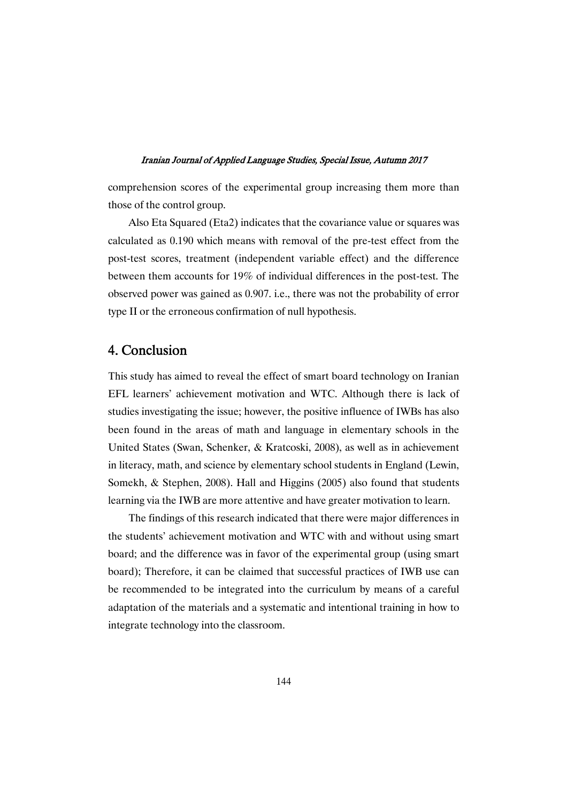comprehension scores of the experimental group increasing them more than those of the control group.

Also Eta Squared (Eta2) indicates that the covariance value or squares was calculated as 0.190 which means with removal of the pre-test effect from the post-test scores, treatment (independent variable effect) and the difference between them accounts for 19% of individual differences in the post-test. The observed power was gained as 0.907. i.e., there was not the probability of error type II or the erroneous confirmation of null hypothesis.

# 4.Conclusion

This study has aimed to reveal the effect of smart board technology on Iranian EFL learners' achievement motivation and WTC. Although there is lack of studies investigating the issue; however, the positive influence of IWBs has also been found in the areas of math and language in elementary schools in the United States (Swan, Schenker, & Kratcoski, 2008), as well as in achievement in literacy, math, and science by elementary school students in England (Lewin, Somekh, & Stephen, 2008). Hall and Higgins (2005) also found that students learning via the IWB are more attentive and have greater motivation to learn.

The findings of this research indicated that there were major differences in the students' achievement motivation and WTC with and without using smart board; and the difference was in favor of the experimental group (using smart board); Therefore, it can be claimed that successful practices of IWB use can be recommended to be integrated into the curriculum by means of a careful adaptation of the materials and a systematic and intentional training in how to integrate technology into the classroom.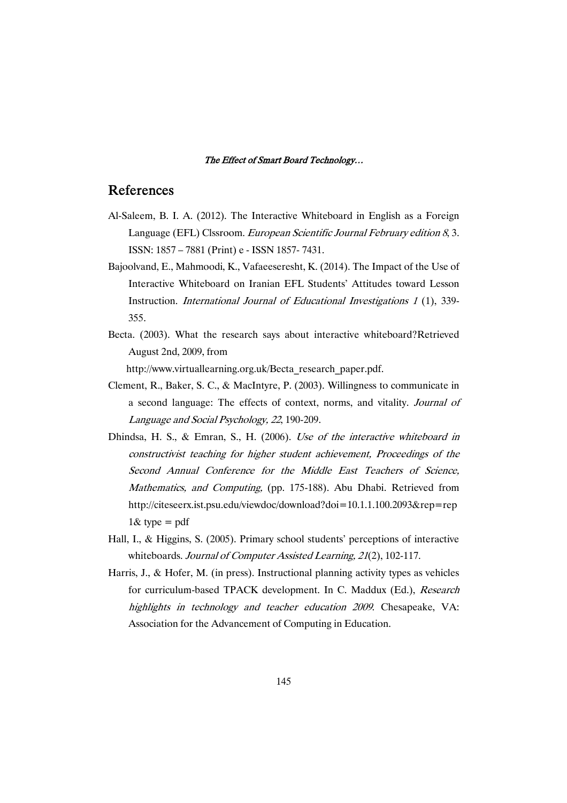## References

- Al-Saleem, B. I. A. (2012). The Interactive Whiteboard in English as a Foreign Language (EFL) Clssroom. *European Scientific Journal February edition 8,3*. ISSN: 1857 – 7881 (Print) e - ISSN 1857- 7431.
- Bajoolvand, E., Mahmoodi, K., Vafaeeseresht, K. (2014). The Impact of the Use of Interactive Whiteboard on Iranian EFL Students' Attitudes toward Lesson Instruction. International Journal of Educational Investigations <sup>1</sup> (1), 339- 355.
- Becta. (2003). What the research says about interactive whiteboard?Retrieved August 2nd, 2009, from

http://www.virtuallearning.org.uk/Becta\_research\_paper.pdf.

- Clement, R., Baker, S. C., & MacIntyre, P. (2003). Willingness to communicate in a second language: The effects of context, norms, and vitality. Journal of Language and Social Psychology, <sup>22</sup>, 190-209.
- Dhindsa, H. S., & Emran, S., H. (2006). Use of the interactive whiteboard in constructivist teaching for higher student achievement, Proceedings of the Second Annual Conference for the Middle East Teachers of Science, Mathematics, and Computing, (pp. 175-188). Abu Dhabi. Retrieved from http://citeseerx.ist.psu.edu/viewdoc/download?doi=10.1.1.100.2093&rep=rep  $1&$  type = pdf
- Hall, I., & Higgins, S. (2005). Primary school students' perceptions of interactive whiteboards. Journal of Computer Assisted Learning, 21(2), 102-117.
- Harris, J., & Hofer, M. (in press). Instructional planning activity types as vehicles for curriculum-based TPACK development. In C. Maddux (Ed.), Research highlights in technology and teacher education <sup>2009</sup>. Chesapeake, VA: Association for the Advancement of Computing in Education.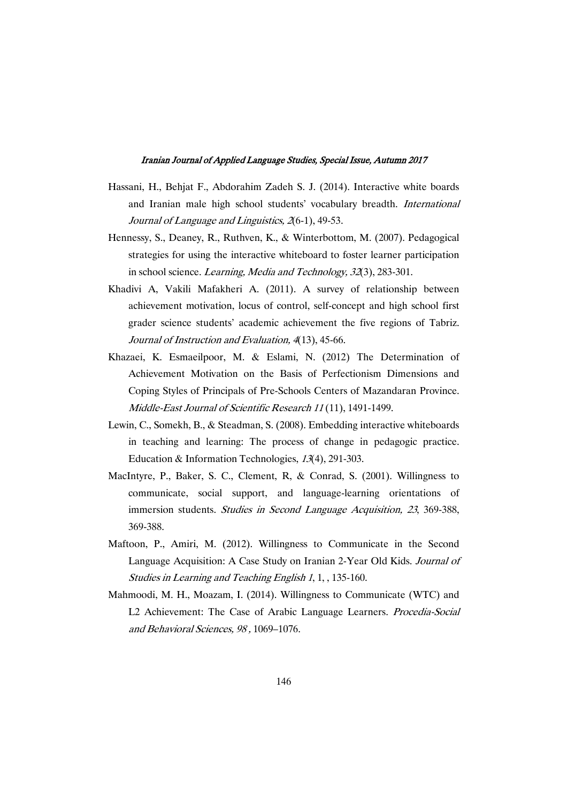- Hassani, H., Behjat F., Abdorahim Zadeh S. J. (2014). Interactive white boards and Iranian male high school students' vocabulary breadth. International Journal of Language and Linguistics, 2(6-1), 49-53.
- Hennessy, S., Deaney, R., Ruthven, K., & Winterbottom, M. (2007). Pedagogical strategies for using the interactive whiteboard to foster learner participation in school science. Learning, Media and Technology, <sup>32</sup>(3), 283-301.
- Khadivi A, Vakili Mafakheri A. (2011). A survey of relationship between achievement motivation, locus of control, self-concept and high school first grader science students' academic achievement the five regions of Tabriz. Journal of Instruction and Evaluation, <sup>4</sup>(13), 45-66.
- Khazaei, K. Esmaeilpoor, M. & Eslami, N. (2012) The Determination of Achievement Motivation on the Basis of Perfectionism Dimensions and Coping Styles of Principals of Pre-Schools Centers of Mazandaran Province. Middle-East Journal of Scientific Research <sup>11</sup> (11), 1491-1499.
- Lewin, C., Somekh, B., & Steadman, S. (2008). Embedding interactive whiteboards in teaching and learning: The process of change in pedagogic practice. Education & Information Technologies, <sup>13</sup>(4), 291-303.
- MacIntyre, P., Baker, S. C., Clement, R, & Conrad, S. (2001). Willingness to communicate, social support, and language-learning orientations of immersion students. Studies in Second Language Acquisition, 23, 369-388, 369-388.
- Maftoon, P., Amiri, M. (2012). Willingness to Communicate in the Second Language Acquisition: A Case Study on Iranian 2-Year Old Kids. Journal of Studies in Learning and Teaching English <sup>1</sup>, 1, , 135-160.
- Mahmoodi, M. H., Moazam, I. (2014). Willingness to Communicate (WTC) and L2 Achievement: The Case of Arabic Language Learners. Procedia-Social and Behavioral Sciences, <sup>98</sup> , 1069–1076.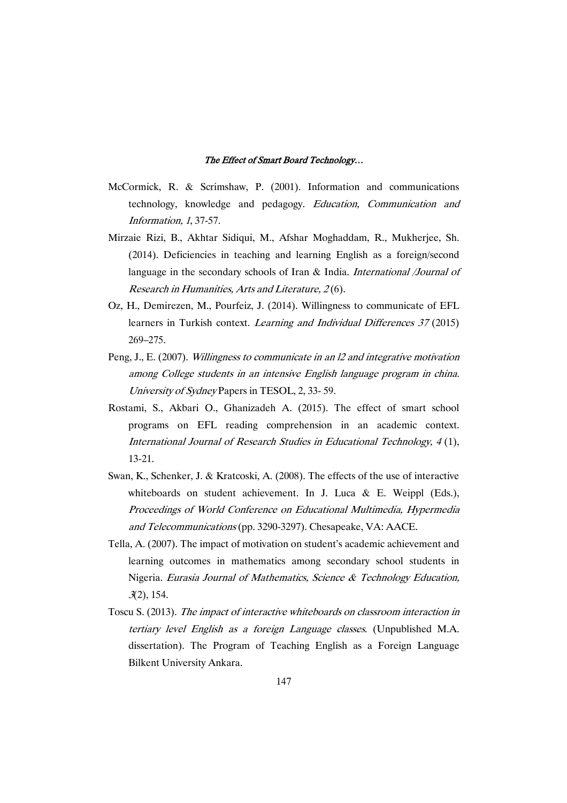- McCormick, R. & Scrimshaw, P. (2001). Information and communications technology, knowledge and pedagogy. Education, Communication and Information, <sup>1</sup>, 37-57.
- Mirzaie Rizi, B., Akhtar Sidiqui, M., Afshar Moghaddam, R., Mukherjee, Sh. (2014). Deficiencies in teaching and learning English as a foreign/second language in the secondary schools of Iran & India. International /Journal of Research in Humanities, Arts and Literature, <sup>2</sup> (6).
- Oz, H., Demirezen, M., Pourfeiz, J. (2014). Willingness to communicate of EFL learners in Turkish context. *Learning and Individual Differences 37* (2015) 269–275.
- Peng, J., E. (2007). Willingness to communicate in an l2 and integrative motivation among College students in an intensive English language program in china. University of Sydney Papers in TESOL, 2, 33- 59.
- Rostami, S., Akbari O., Ghanizadeh A. (2015). The effect of smart school programs on EFL reading comprehension in an academic context. International Journal of Research Studies in Educational Technology, <sup>4</sup> (1), 13-21.
- Swan, K., Schenker, J. & Kratcoski, A. (2008). The effects of the use of interactive whiteboards on student achievement. In J. Luca & E. Weippl (Eds.), Proceedings of World Conference on Educational Multimedia, Hypermedia and Telecommunications (pp. 3290-3297). Chesapeake, VA: AACE.
- Tella, A. (2007). The impact of motivation on student's academic achievement and learning outcomes in mathematics among secondary school students in Nigeria. Eurasia Journal of Mathematics, Science & Technology Education, <sup>3</sup>(2), 154.
- Toscu S. (2013). The impact of interactive whiteboards on classroom interaction in tertiary level English as <sup>a</sup> foreign Language classes. (Unpublished M.A. dissertation). The Program of Teaching English as a Foreign Language Bilkent University Ankara.